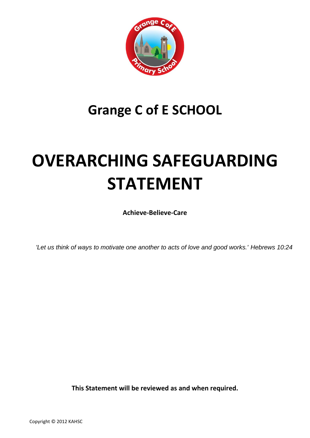

## **Grange C of E SCHOOL**

# **OVERARCHING SAFEGUARDING STATEMENT**

**Achieve-Believe-Care**

*'Let us think of ways to motivate one another to acts of love and good works.' Hebrews 10:24*

**This Statement will be reviewed as and when required.**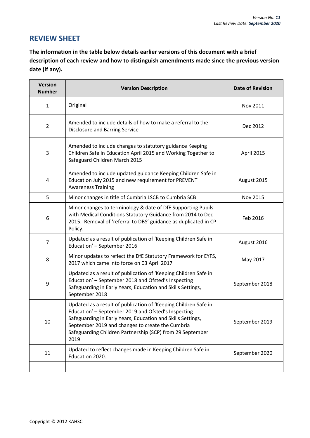### **REVIEW SHEET**

**The information in the table below details earlier versions of this document with a brief description of each review and how to distinguish amendments made since the previous version date (if any).** 

| <b>Version</b><br><b>Number</b> | <b>Version Description</b>                                                                                                                                                                                                                                                                                     | <b>Date of Revision</b> |
|---------------------------------|----------------------------------------------------------------------------------------------------------------------------------------------------------------------------------------------------------------------------------------------------------------------------------------------------------------|-------------------------|
| $\mathbf{1}$                    | Original                                                                                                                                                                                                                                                                                                       | Nov 2011                |
| $\overline{2}$                  | Amended to include details of how to make a referral to the<br><b>Disclosure and Barring Service</b>                                                                                                                                                                                                           | Dec 2012                |
| 3                               | Amended to include changes to statutory guidance Keeping<br>Children Safe in Education April 2015 and Working Together to<br>Safeguard Children March 2015                                                                                                                                                     | April 2015              |
| 4                               | Amended to include updated guidance Keeping Children Safe in<br>Education July 2015 and new requirement for PREVENT<br><b>Awareness Training</b>                                                                                                                                                               | August 2015             |
| 5                               | Minor changes in title of Cumbria LSCB to Cumbria SCB                                                                                                                                                                                                                                                          | Nov 2015                |
| 6                               | Minor changes to terminology & date of DfE Supporting Pupils<br>with Medical Conditions Statutory Guidance from 2014 to Dec<br>2015. Removal of 'referral to DBS' guidance as duplicated in CP<br>Policy.                                                                                                      | Feb 2016                |
| $\overline{7}$                  | Updated as a result of publication of 'Keeping Children Safe in<br>Education' - September 2016                                                                                                                                                                                                                 | August 2016             |
| 8                               | Minor updates to reflect the DfE Statutory Framework for EYFS,<br>2017 which came into force on 03 April 2017                                                                                                                                                                                                  | May 2017                |
| 9                               | Updated as a result of publication of 'Keeping Children Safe in<br>Education' - September 2018 and Ofsted's Inspecting<br>Safeguarding in Early Years, Education and Skills Settings,<br>September 2018                                                                                                        | September 2018          |
| 10                              | Updated as a result of publication of 'Keeping Children Safe in<br>Education' - September 2019 and Ofsted's Inspecting<br>Safeguarding in Early Years, Education and Skills Settings,<br>September 2019 and changes to create the Cumbria<br>Safeguarding Children Partnership (SCP) from 29 September<br>2019 | September 2019          |
| 11                              | Updated to reflect changes made in Keeping Children Safe in<br>Education 2020.                                                                                                                                                                                                                                 | September 2020          |
|                                 |                                                                                                                                                                                                                                                                                                                |                         |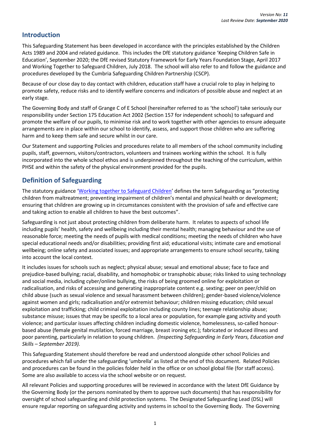#### **Introduction**

This Safeguarding Statement has been developed in accordance with the principles established by the Children Acts 1989 and 2004 and related guidance. This includes the DfE statutory guidance 'Keeping Children Safe in Education', September 2020; the DfE revised Statutory Framework for Early Years Foundation Stage, April 2017 and Working Together to Safeguard Children, July 2018. The school will also refer to and follow the guidance and procedures developed by the Cumbria Safeguarding Children Partnership (CSCP).

Because of our close day to day contact with children, education staff have a crucial role to play in helping to promote safety, reduce risks and to identify welfare concerns and indicators of possible abuse and neglect at an early stage*.*

The Governing Body and staff of Grange C of E School (hereinafter referred to as 'the school') take seriously our responsibility under Section 175 Education Act 2002 (Section 157 for independent schools) to safeguard and promote the welfare of our pupils, to minimise risk and to work together with other agencies to ensure adequate arrangements are in place within our school to identify, assess, and support those children who are suffering harm and to keep them safe and secure whilst in our care.

Our Statement and supporting Policies and procedures relate to all members of the school community including pupils, staff, governors, visitors/contractors, volunteers and trainees working within the school. It is fully incorporated into the whole school ethos and is underpinned throughout the teaching of the curriculum, within PHSE and within the safety of the physical environment provided for the pupils.

#### **Definition of Safeguarding**

The statutory guidance '[Working together to Safeguard Children](https://www.gov.uk/government/publications/working-together-to-safeguard-children--2)' defines the term Safeguarding as "protecting children from maltreatment; preventing impairment of children's mental and physical health or development; ensuring that children are growing up in circumstances consistent with the provision of safe and effective care and taking action to enable all children to have the best outcomes".

Safeguarding is not just about protecting children from deliberate harm. It relates to aspects of school life including pupils' health, safety and wellbeing including their mental health; managing behaviour and the use of reasonable force; meeting the needs of pupils with medical conditions; meeting the needs of children who have special educational needs and/or disabilities; providing first aid; educational visits; intimate care and emotional wellbeing; online safety and associated issues; and appropriate arrangements to ensure school security, taking into account the local context.

It includes issues for schools such as neglect; physical abuse; sexual and emotional abuse; face to face and prejudice-based bullying; racial, disability, and homophobic or transphobic abuse; risks linked to using technology and social media, including cyber/online bullying, the risks of being groomed online for exploitation or radicalisation, and risks of accessing and generating inappropriate content e.g. sexting; peer on peer/child on child abuse (such as sexual violence and sexual harassment between children); gender-based violence/violence against women and girls; radicalisation and/or extremist behaviour; children missing education; child sexual exploitation and trafficking; child criminal exploitation including county lines; teenage relationship abuse; substance misuse; issues that may be specific to a local area or population, for example gang activity and youth violence; and particular issues affecting children including domestic violence, homelessness, so-called honourbased abuse (female genital mutilation, forced marriage, breast ironing etc.); fabricated or induced illness and poor parenting, particularly in relation to young children. *(Inspecting Safeguarding in Early Years, Education and Skills – September 2019).*

This Safeguarding Statement should therefore be read and understood alongside other school Policies and procedures which fall under the safeguarding 'umbrella' as listed at the end of this document. Related Policies and procedures can be found in the policies folder held in the office or on school global file (for staff access). Some are also available to access via the school website or on request.

All relevant Policies and supporting procedures will be reviewed in accordance with the latest DfE Guidance by the Governing Body (or the persons nominated by them to approve such documents) that has responsibility for oversight of school safeguarding and child protection systems. The Designated Safeguarding Lead (DSL) will ensure regular reporting on safeguarding activity and systems in school to the Governing Body. The Governing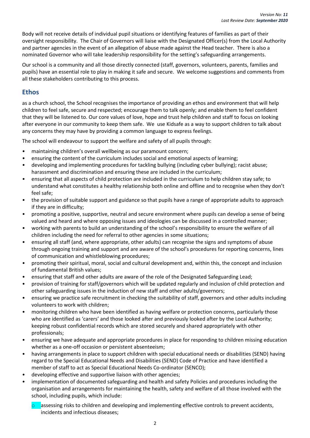Body will not receive details of individual pupil situations or identifying features of families as part of their oversight responsibility. The Chair of Governors will liaise with the Designated Officer(s) from the Local Authority and partner agencies in the event of an allegation of abuse made against the Head teacher. There is also a nominated Governor who will take leadership responsibility for the setting's safeguarding arrangements.

Our school is a community and all those directly connected (staff, governors, volunteers, parents, families and pupils) have an essential role to play in making it safe and secure. We welcome suggestions and comments from all these stakeholders contributing to this process.

#### **Ethos**

as a church school, the School recognises the importance of providing an ethos and environment that will help children to feel safe, secure and respected; encourage them to talk openly; and enable them to feel confident that they will be listened to. Our core values of love, hope and trust help children and staff to focus on looking after everyone in our community to keep them safe. We use Kidsafe as a way to support children to talk about any concerns they may have by providing a common language to express feelings.

The school will endeavour to support the welfare and safety of all pupils through:

- maintaining children's overall wellbeing as our paramount concern;
- ensuring the content of the curriculum includes social and emotional aspects of learning;
- developing and implementing procedures for tackling bullying (including cyber bullying); racist abuse; harassment and discrimination and ensuring these are included in the curriculum;
- ensuring that all aspects of child protection are included in the curriculum to help children stay safe; to understand what constitutes a healthy relationship both online and offline and to recognise when they don't feel safe;
- the provision of suitable support and guidance so that pupils have a range of appropriate adults to approach if they are in difficulty;
- promoting a positive, supportive, neutral and secure environment where pupils can develop a sense of being valued and heard and where opposing issues and ideologies can be discussed in a controlled manner;
- working with parents to build an understanding of the school's responsibility to ensure the welfare of all children including the need for referral to other agencies in some situations;
- ensuring all staff (and, where appropriate, other adults) can recognise the signs and symptoms of abuse through ongoing training and support and are aware of the school's procedures for reporting concerns, lines of communication and whistleblowing procedures;
- promoting their spiritual, moral, social and cultural development and, within this, the concept and inclusion of fundamental British values;
- ensuring that staff and other adults are aware of the role of the Designated Safeguarding Lead;
- provision of training for staff/governors which will be updated regularly and inclusion of child protection and other safeguarding issues in the induction of new staff and other adults/governors;
- ensuring we practice safe recruitment in checking the suitability of staff, governors and other adults including volunteers to work with children;
- monitoring children who have been identified as having welfare or protection concerns, particularly those who are identified as 'carers' and those looked after and previously looked after by the Local Authority; keeping robust confidential records which are stored securely and shared appropriately with other professionals;
- ensuring we have adequate and appropriate procedures in place for responding to children missing education whether as a one-off occasion or persistent absenteeism;
- having arrangements in place to support children with special educational needs or disabilities (SEND) having regard to the Special Educational Needs and Disabilities (SEND) Code of Practice and have identified a member of staff to act as Special Educational Needs Co-ordinator (SENCO);
- developing effective and supportive liaison with other agencies;
- implementation of documented safeguarding and health and safety Policies and procedures including the organisation and arrangements for maintaining the health, safety and welfare of all those involved with the school, including pupils, which include:
	- assessing risks to children and developing and implementing effective controls to prevent accidents, incidents and infectious diseases;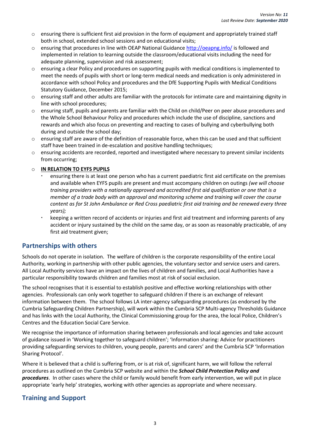- $\circ$  ensuring there is sufficient first aid provision in the form of equipment and appropriately trained staff both in school, extended school sessions and on educational visits;
- o ensuring that procedures in line with OEAP National Guidance <http://oeapng.info/> is followed and implemented in relation to learning outside the classroom/educational visits including the need for adequate planning, supervision and risk assessment;
- o ensuring a clear Policy and procedures on supporting pupils with medical conditions is implemented to meet the needs of pupils with short or long-term medical needs and medication is only administered in accordance with school Policy and procedures and the DfE Supporting Pupils with Medical Conditions Statutory Guidance, December 2015;
- o ensuring staff and other adults are familiar with the protocols for intimate care and maintaining dignity in line with school procedures;
- o ensuring staff, pupils and parents are familiar with the Child on child/Peer on peer abuse procedures and the Whole School Behaviour Policy and procedures which include the use of discipline, sanctions and rewards and which also focus on preventing and reacting to cases of bullying and cyberbullying both during and outside the school day;
- o ensuring staff are aware of the definition of reasonable force, when this can be used and that sufficient staff have been trained in de-escalation and positive handling techniques;
- o ensuring accidents are recorded, reported and investigated where necessary to prevent similar incidents from occurring;

#### o **IN RELATION TO EYFS PUPILS**

- ensuring there is at least one person who has a current paediatric first aid certificate on the premises and available when EYFS pupils are present and must accompany children on outings *(we will choose training providers with a nationally approved and accredited first aid qualification or one that is a member of a trade body with an approval and monitoring scheme and training will cover the course content as for St John Ambulance or Red Cross paediatric first aid training and be renewed every three years);*
- keeping a written record of accidents or injuries and first aid treatment and informing parents of any accident or injury sustained by the child on the same day, or as soon as reasonably practicable, of any first aid treatment given;

#### **Partnerships with others**

Schools do not operate in isolation. The welfare of children is the corporate responsibility of the entire Local Authority, working in partnership with other public agencies, the voluntary sector and service users and carers. All Local Authority services have an impact on the lives of children and families, and Local Authorities have a particular responsibility towards children and families most at risk of social exclusion.

The school recognises that it is essential to establish positive and effective working relationships with other agencies. Professionals can only work together to safeguard children if there is an exchange of relevant information between them. The school follows LA inter-agency safeguarding procedures (as endorsed by the Cumbria Safeguarding Children Partnership), will work within the Cumbria SCP Multi-agency Thresholds Guidance and has links with the Local Authority, the Clinical Commissioning group for the area, the local Police, Children's Centres and the Education Social Care Service.

We recognise the importance of information sharing between professionals and local agencies and take account of guidance issued in 'Working together to safeguard children'; 'Information sharing: Advice for practitioners providing safeguarding services to children, young people, parents and carers' and the Cumbria SCP 'Information Sharing Protocol'.

Where it is believed that a child is suffering from, or is at risk of, significant harm, we will follow the referral procedures as outlined on the Cumbria SCP website and within the *School Child Protection Policy and procedures*. In other cases where the child or family would benefit from early intervention, we will put in place appropriate 'early help' strategies, working with other agencies as appropriate and where necessary.

#### **Training and Support**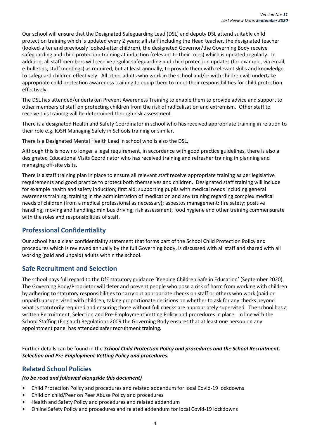Our school will ensure that the Designated Safeguarding Lead (DSL) and deputy DSL attend suitable child protection training which is updated every 2 years; all staff including the Head teacher, the designated teacher (looked-after and previously looked-after children), the designated Governor/the Governing Body receive safeguarding and child protection training at induction (relevant to their roles) which is updated regularly. In addition, all staff members will receive regular safeguarding and child protection updates (for example, via email, e-bulletins, staff meetings) as required, but at least annually, to provide them with relevant skills and knowledge to safeguard children effectively. All other adults who work in the school and/or with children will undertake appropriate child protection awareness training to equip them to meet their responsibilities for child protection effectively.

The DSL has attended/undertaken Prevent Awareness Training to enable them to provide advice and support to other members of staff on protecting children from the risk of radicalisation and extremism. Other staff to receive this training will be determined through risk assessment.

There is a designated Health and Safety Coordinator in school who has received appropriate training in relation to their role e.g. IOSH Managing Safely in Schools training or similar.

There is a Designated Mental Health Lead in school who is also the DSL.

Although this is now no longer a legal requirement, in accordance with good practice guidelines, there is also a designated Educational Visits Coordinator who has received training and refresher training in planning and managing off-site visits.

There is a staff training plan in place to ensure all relevant staff receive appropriate training as per legislative requirements and good practice to protect both themselves and children. Designated staff training will include for example health and safety induction; first aid; supporting pupils with medical needs including general awareness training; training in the administration of medication and any training regarding complex medical needs of children (from a medical professional as necessary); asbestos management; fire safety; positive handling; moving and handling; minibus driving; risk assessment; food hygiene and other training commensurate with the roles and responsibilities of staff.

#### **Professional Confidentiality**

Our school has a clear confidentiality statement that forms part of the School Child Protection Policy and procedures which is reviewed annually by the full Governing body, is discussed with all staff and shared with all working (paid and unpaid) adults within the school.

#### **Safe Recruitment and Selection**

The school pays full regard to the DfE statutory guidance 'Keeping Children Safe in Education' (September 2020). The Governing Body/Proprietor will deter and prevent people who pose a risk of harm from working with children by adhering to statutory responsibilities to carry out appropriate checks on staff or others who work (paid or unpaid) unsupervised with children*,* taking proportionate decisions on whether to ask for any checks beyond what is statutorily required and ensuring those without full checks are appropriately supervised. The school has a written Recruitment, Selection and Pre-Employment Vetting Policy and procedures in place. In line with the School Staffing (England) Regulations 2009 the Governing Body ensures that at least one person on any appointment panel has attended safer recruitment training.

Further details can be found in the *School Child Protection Policy and procedures and the School Recruitment, Selection and Pre-Employment Vetting Policy and procedures.*

#### **Related School Policies**

#### *(to be read and followed alongside this document)*

- Child Protection Policy and procedures and related addendum for local Covid-19 lockdowns
- Child on child/Peer on Peer Abuse Policy and procedures
- Health and Safety Policy and procedures and related addendum
- Online Safety Policy and procedures and related addendum for local Covid-19 lockdowns